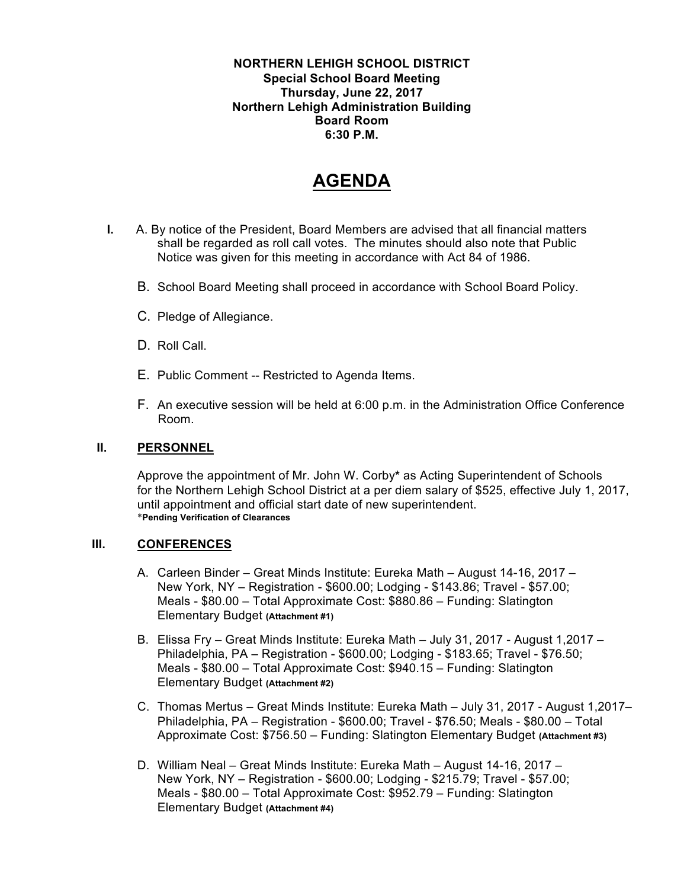**NORTHERN LEHIGH SCHOOL DISTRICT Special School Board Meeting Thursday, June 22, 2017 Northern Lehigh Administration Building Board Room 6:30 P.M.**

# **AGENDA**

- **I.** A. By notice of the President, Board Members are advised that all financial matters shall be regarded as roll call votes. The minutes should also note that Public Notice was given for this meeting in accordance with Act 84 of 1986.
	- B. School Board Meeting shall proceed in accordance with School Board Policy.
	- C. Pledge of Allegiance.
	- D. Roll Call.
	- E. Public Comment -- Restricted to Agenda Items.
	- F. An executive session will be held at 6:00 p.m. in the Administration Office Conference Room.

### **II. PERSONNEL**

Approve the appointment of Mr. John W. Corby**\*** as Acting Superintendent of Schools for the Northern Lehigh School District at a per diem salary of \$525, effective July 1, 2017, until appointment and official start date of new superintendent. \***Pending Verification of Clearances**

### **III. CONFERENCES**

- A. Carleen Binder Great Minds Institute: Eureka Math August 14-16, 2017 New York, NY – Registration - \$600.00; Lodging - \$143.86; Travel - \$57.00; Meals - \$80.00 – Total Approximate Cost: \$880.86 – Funding: Slatington Elementary Budget **(Attachment #1)**
- B. Elissa Fry Great Minds Institute: Eureka Math July 31, 2017 August 1,2017 Philadelphia, PA – Registration - \$600.00; Lodging - \$183.65; Travel - \$76.50; Meals - \$80.00 – Total Approximate Cost: \$940.15 – Funding: Slatington Elementary Budget **(Attachment #2)**
- C. Thomas Mertus Great Minds Institute: Eureka Math July 31, 2017 August 1,2017– Philadelphia, PA – Registration - \$600.00; Travel - \$76.50; Meals - \$80.00 – Total Approximate Cost: \$756.50 – Funding: Slatington Elementary Budget **(Attachment #3)**
- D. William Neal Great Minds Institute: Eureka Math August 14-16, 2017 New York, NY – Registration - \$600.00; Lodging - \$215.79; Travel - \$57.00; Meals - \$80.00 – Total Approximate Cost: \$952.79 – Funding: Slatington Elementary Budget **(Attachment #4)**